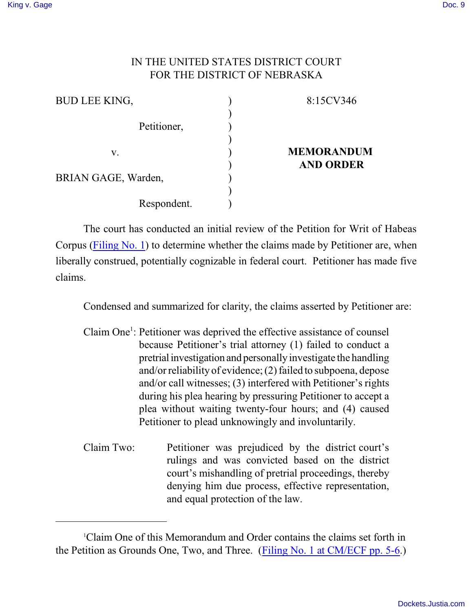## IN THE UNITED STATES DISTRICT COURT FOR THE DISTRICT OF NEBRASKA

| <b>BUD LEE KING,</b> | 8:15CV346         |
|----------------------|-------------------|
| Petitioner,          |                   |
| V.                   | <b>MEMORANDUM</b> |
| BRIAN GAGE, Warden,  | <b>AND ORDER</b>  |
| Respondent.          |                   |

The court has conducted an initial review of the Petition for Writ of Habeas Corpus [\(Filing No. 1](https://ecf.ned.uscourts.gov/doc1/11313362910)) to determine whether the claims made by Petitioner are, when liberally construed, potentially cognizable in federal court. Petitioner has made five claims.

Condensed and summarized for clarity, the claims asserted by Petitioner are:

Claim One<sup>1</sup>: Petitioner was deprived the effective assistance of counsel because Petitioner's trial attorney (1) failed to conduct a pretrial investigation and personally investigate the handling and/or reliability of evidence;(2) failed to subpoena, depose and/or call witnesses; (3) interfered with Petitioner's rights during his plea hearing by pressuring Petitioner to accept a plea without waiting twenty-four hours; and (4) caused Petitioner to plead unknowingly and involuntarily.

Claim Two: Petitioner was prejudiced by the district court's rulings and was convicted based on the district court's mishandling of pretrial proceedings, thereby denying him due process, effective representation, and equal protection of the law.

<sup>1</sup>Claim One of this Memorandum and Order contains the claims set forth in the Petition as Grounds One, Two, and Three. [\(Filing No. 1 at CM/ECF pp. 5-6](https://ecf.ned.uscourts.gov/doc1/11313362910).)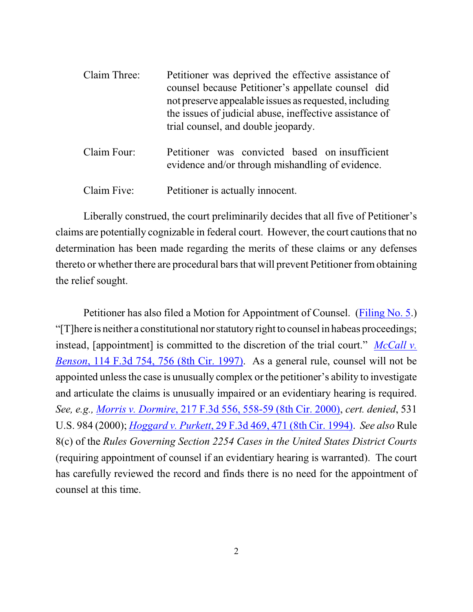| Claim Three: | Petitioner was deprived the effective assistance of<br>counsel because Petitioner's appellate counsel did<br>not preserve appealable issues as requested, including<br>the issues of judicial abuse, ineffective assistance of<br>trial counsel, and double jeopardy. |
|--------------|-----------------------------------------------------------------------------------------------------------------------------------------------------------------------------------------------------------------------------------------------------------------------|
| Claim Four:  | Petitioner was convicted based on insufficient<br>evidence and/or through mishandling of evidence.                                                                                                                                                                    |

Claim Five: Petitioner is actually innocent.

Liberally construed, the court preliminarily decides that all five of Petitioner's claims are potentially cognizable in federal court. However, the court cautions that no determination has been made regarding the merits of these claims or any defenses thereto or whether there are procedural bars that will prevent Petitioner fromobtaining the relief sought.

Petitioner has also filed a Motion for Appointment of Counsel. [\(Filing No. 5](https://ecf.ned.uscourts.gov/doc1/11313362930).) "[T]here is neither a constitutional nor statutory right to counsel in habeas proceedings; instead, [appointment] is committed to the discretion of the trial court." *[McCall v.](http://westlaw.com/find/default.wl?ft=Y&referencepositiontype=S&rs=btil2.0&rp=%2ffind%2fdefault.wl&serialnum=1997118637&fn=_top&referenceposition=756&findtype=Y&vr=2.0&db=0000506&wbtoolsId=1997118637&HistoryType=F) Benson*[, 114 F.3d 754, 756 \(8th Cir. 1997\)](http://westlaw.com/find/default.wl?ft=Y&referencepositiontype=S&rs=btil2.0&rp=%2ffind%2fdefault.wl&serialnum=1997118637&fn=_top&referenceposition=756&findtype=Y&vr=2.0&db=0000506&wbtoolsId=1997118637&HistoryType=F). As a general rule, counsel will not be appointed unless the case is unusually complex or the petitioner's ability to investigate and articulate the claims is unusually impaired or an evidentiary hearing is required. *See, e.g., Morris v. Dormire*[, 217 F.3d 556, 558-59 \(8th Cir. 2000\)](http://westlaw.com/find/default.wl?ft=Y&referencepositiontype=S&rs=btil2.0&rp=%2ffind%2fdefault.wl&serialnum=2000393080&fn=_top&referenceposition=558&findtype=Y&vr=2.0&db=0000506&wbtoolsId=2000393080&HistoryType=F), *cert. denied*, 531 U.S. 984 (2000); *Hoggard v. Purkett*[, 29 F.3d 469, 471 \(8th Cir. 1994\)](http://westlaw.com/find/default.wl?ft=Y&referencepositiontype=S&rs=btil2.0&rp=%2ffind%2fdefault.wl&serialnum=1994149948&fn=_top&referenceposition=471&findtype=Y&vr=2.0&db=0000506&wbtoolsId=1994149948&HistoryType=F). *See also* Rule 8(c) of the *Rules Governing Section 2254 Cases in the United States District Courts* (requiring appointment of counsel if an evidentiary hearing is warranted). The court has carefully reviewed the record and finds there is no need for the appointment of counsel at this time.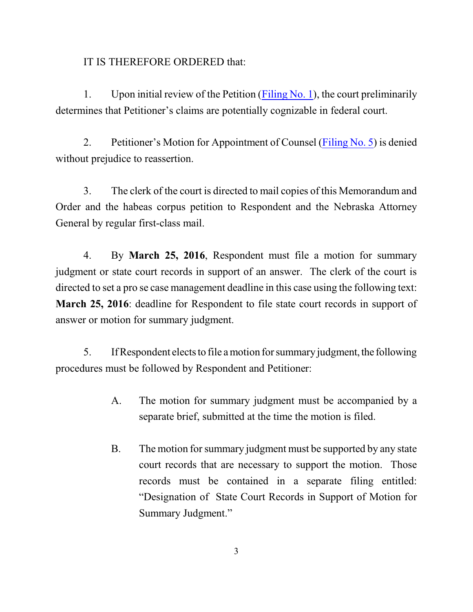## IT IS THEREFORE ORDERED that:

1. Upon initial review of the Petition ([Filing No. 1](https://ecf.ned.uscourts.gov/doc1/11313362910)), the court preliminarily determines that Petitioner's claims are potentially cognizable in federal court.

2. Petitioner's Motion for Appointment of Counsel [\(Filing No. 5](https://ecf.ned.uscourts.gov/doc1/11313362930)) is denied without prejudice to reassertion.

3. The clerk of the court is directed to mail copies of this Memorandum and Order and the habeas corpus petition to Respondent and the Nebraska Attorney General by regular first-class mail.

4. By **March 25, 2016**, Respondent must file a motion for summary judgment or state court records in support of an answer. The clerk of the court is directed to set a pro se case management deadline in this case using the following text: **March 25, 2016**: deadline for Respondent to file state court records in support of answer or motion for summary judgment.

5. If Respondent elects to file a motion for summary judgment, the following procedures must be followed by Respondent and Petitioner:

- A. The motion for summary judgment must be accompanied by a separate brief, submitted at the time the motion is filed.
- B. The motion for summary judgment must be supported by any state court records that are necessary to support the motion. Those records must be contained in a separate filing entitled: "Designation of State Court Records in Support of Motion for Summary Judgment."

3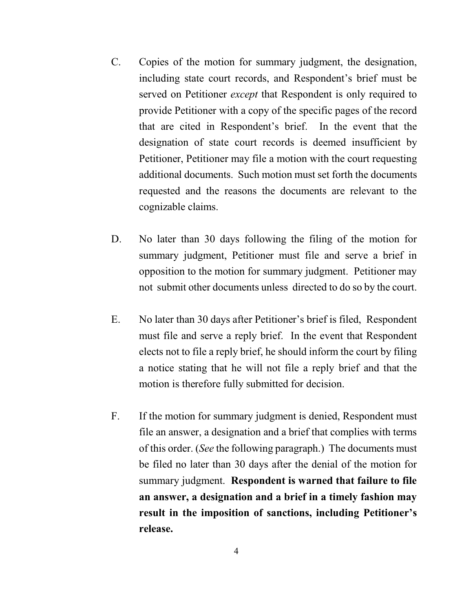- C. Copies of the motion for summary judgment, the designation, including state court records, and Respondent's brief must be served on Petitioner *except* that Respondent is only required to provide Petitioner with a copy of the specific pages of the record that are cited in Respondent's brief. In the event that the designation of state court records is deemed insufficient by Petitioner, Petitioner may file a motion with the court requesting additional documents. Such motion must set forth the documents requested and the reasons the documents are relevant to the cognizable claims.
- D. No later than 30 days following the filing of the motion for summary judgment, Petitioner must file and serve a brief in opposition to the motion for summary judgment. Petitioner may not submit other documents unless directed to do so by the court.
- E. No later than 30 days after Petitioner's brief is filed, Respondent must file and serve a reply brief. In the event that Respondent elects not to file a reply brief, he should inform the court by filing a notice stating that he will not file a reply brief and that the motion is therefore fully submitted for decision.
- F. If the motion for summary judgment is denied, Respondent must file an answer, a designation and a brief that complies with terms of this order. (*See* the following paragraph.) The documents must be filed no later than 30 days after the denial of the motion for summary judgment. **Respondent is warned that failure to file an answer, a designation and a brief in a timely fashion may result in the imposition of sanctions, including Petitioner's release.**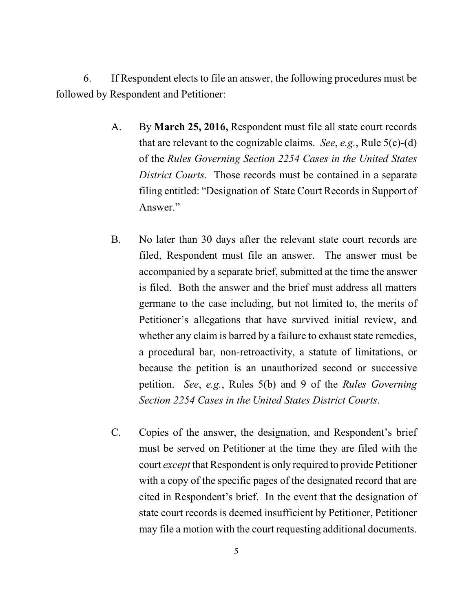6. If Respondent elects to file an answer, the following procedures must be followed by Respondent and Petitioner:

- A. By **March 25, 2016,** Respondent must file all state court records that are relevant to the cognizable claims. *See*, *e.g.*, Rule 5(c)-(d) of the *Rules Governing Section 2254 Cases in the United States District Courts*. Those records must be contained in a separate filing entitled: "Designation of State Court Records in Support of Answer."
- B. No later than 30 days after the relevant state court records are filed, Respondent must file an answer. The answer must be accompanied by a separate brief, submitted at the time the answer is filed. Both the answer and the brief must address all matters germane to the case including, but not limited to, the merits of Petitioner's allegations that have survived initial review, and whether any claim is barred by a failure to exhaust state remedies, a procedural bar, non-retroactivity, a statute of limitations, or because the petition is an unauthorized second or successive petition. *See*, *e.g.*, Rules 5(b) and 9 of the *Rules Governing Section 2254 Cases in the United States District Courts*.
- C. Copies of the answer, the designation, and Respondent's brief must be served on Petitioner at the time they are filed with the court *except* that Respondent is only required to provide Petitioner with a copy of the specific pages of the designated record that are cited in Respondent's brief. In the event that the designation of state court records is deemed insufficient by Petitioner, Petitioner may file a motion with the court requesting additional documents.